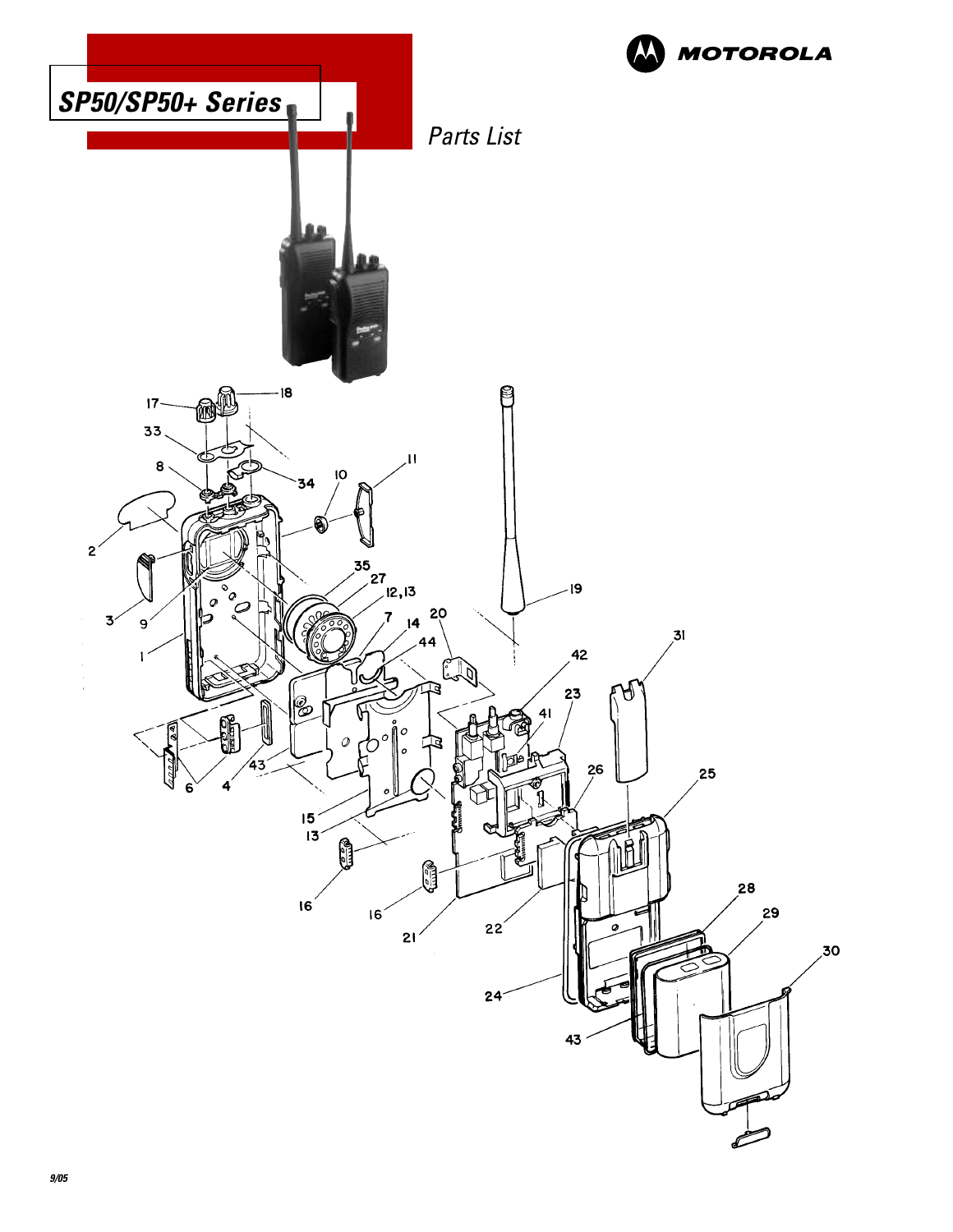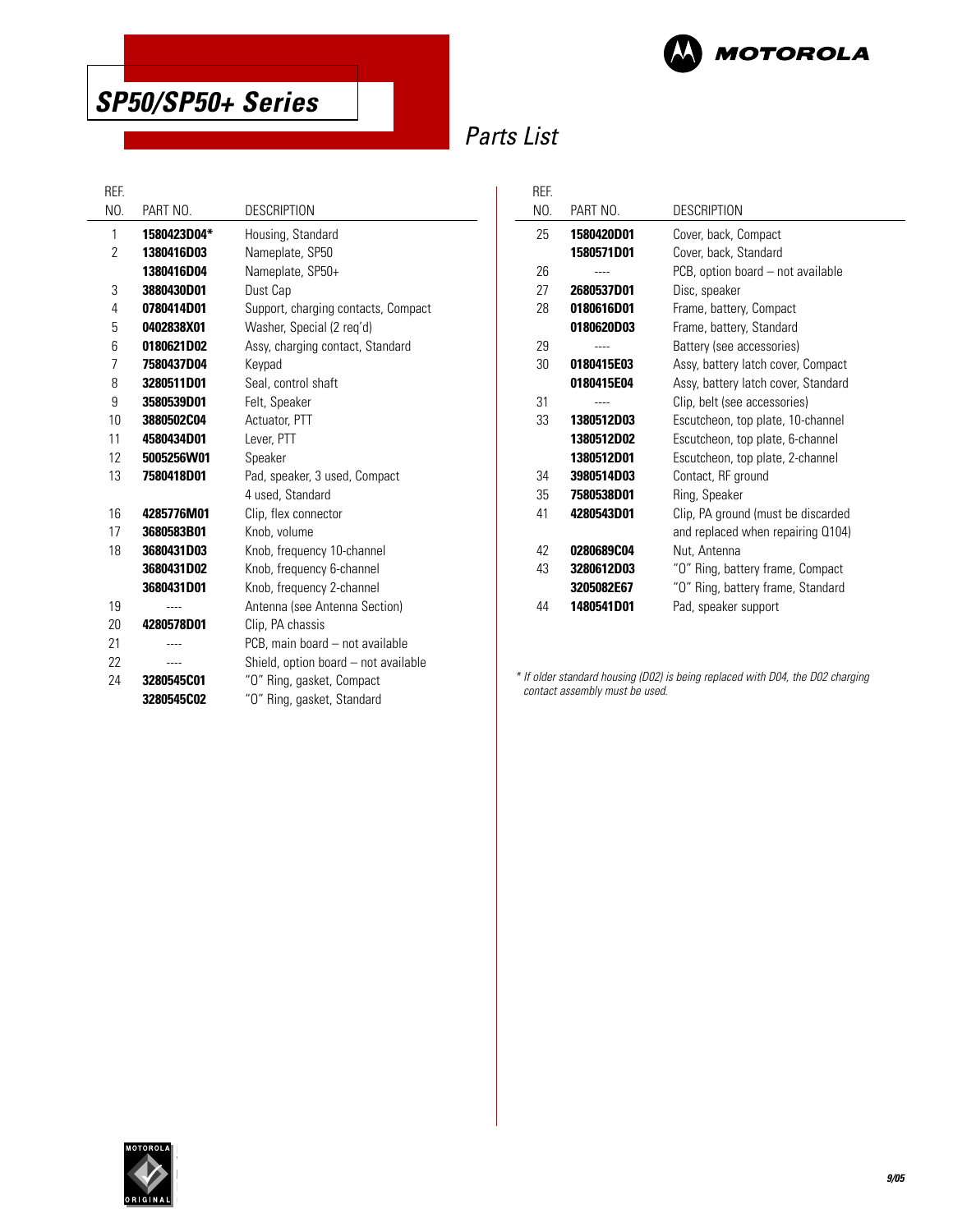



# Parts List

| REF. |             |                                      |
|------|-------------|--------------------------------------|
| NO.  | PART NO.    | <b>DESCRIPTION</b>                   |
| 1    | 1580423D04* | Housing, Standard                    |
| 2    | 1380416D03  | Nameplate, SP50                      |
|      | 1380416D04  | Nameplate, SP50+                     |
| 3    | 3880430D01  | Dust Cap                             |
| 4    | 0780414D01  | Support, charging contacts, Compact  |
| 5    | 0402838X01  | Washer, Special (2 req'd)            |
| 6    | 0180621D02  | Assy, charging contact, Standard     |
| 7    | 7580437D04  | Keypad                               |
| 8    | 3280511D01  | Seal, control shaft                  |
| 9    | 3580539D01  | Felt, Speaker                        |
| 10   | 3880502C04  | Actuator, PTT                        |
| 11   | 4580434D01  | Lever, PTT                           |
| 12   | 5005256W01  | Speaker                              |
| 13   | 7580418D01  | Pad, speaker, 3 used, Compact        |
|      |             | 4 used, Standard                     |
| 16   | 4285776M01  | Clip, flex connector                 |
| 17   | 3680583B01  | Knob, volume                         |
| 18   | 3680431D03  | Knob, frequency 10-channel           |
|      | 3680431D02  | Knob, frequency 6-channel            |
|      | 3680431D01  | Knob, frequency 2-channel            |
| 19   |             | Antenna (see Antenna Section)        |
| 20   | 4280578D01  | Clip, PA chassis                     |
| 21   |             | PCB, main board - not available      |
| 22   |             | Shield, option board - not available |
| 24   | 3280545C01  | "O" Ring, gasket, Compact            |
|      | 3280545C02  | "O" Ring, gasket, Standard           |

| REF. |                   |                                     |
|------|-------------------|-------------------------------------|
| NO.  | PART NO.          | DESCRIPTION                         |
| 25   | 1580420D01        | Cover, back, Compact                |
|      | 1580571D01        | Cover, back, Standard               |
| 26   |                   | PCB, option board - not available   |
| 27   | 2680537D01        | Disc, speaker                       |
| 28   | 0180616D01        | Frame, battery, Compact             |
|      | 0180620D03        | Frame, battery, Standard            |
| 29   |                   | Battery (see accessories)           |
| 30   | 0180415E03        | Assy, battery latch cover, Compact  |
|      | 0180415E04        | Assy, battery latch cover, Standard |
| 31   |                   | Clip, belt (see accessories)        |
| 33   | <b>1380512D03</b> | Escutcheon, top plate, 10-channel   |
|      | 1380512D02        | Escutcheon, top plate, 6-channel    |
|      | 1380512D01        | Escutcheon, top plate, 2-channel    |
| 34   | 3980514D03        | Contact, RF ground                  |
| 35   | 7580538D01        | Ring, Speaker                       |
| 41   | 4280543D01        | Clip, PA ground (must be discarded  |
|      |                   | and replaced when repairing Q104)   |
| 42   | 0280689C04        | Nut, Antenna                        |
| 43   | 3280612D03        | "O" Ring, battery frame, Compact    |
|      | 3205082E67        | "O" Ring, battery frame, Standard   |
| 44   | 1480541D01        | Pad, speaker support                |

\* If older standard housing (D02) is being replaced with D04, the D02 charging contact assembly must be used.

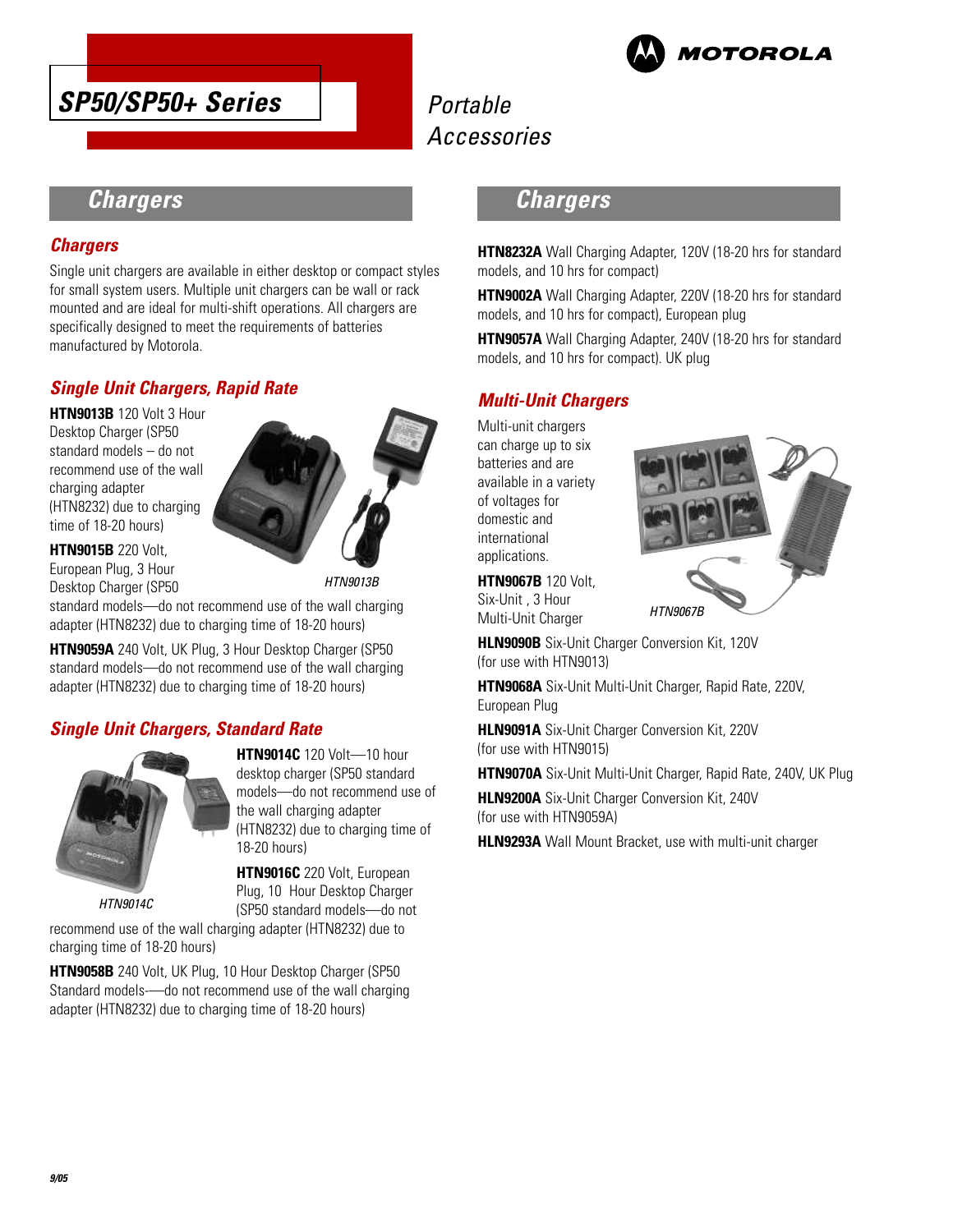



# **Chargers**

### **Chargers**

Single unit chargers are available in either desktop or compact styles for small system users. Multiple unit chargers can be wall or rack mounted and are ideal for multi-shift operations. All chargers are specifically designed to meet the requirements of batteries manufactured by Motorola.

### **Single Unit Chargers, Rapid Rate**

**HTN9013B** 120 Volt 3 Hour Desktop Charger (SP50 standard models – do not recommend use of the wall charging adapter (HTN8232) due to charging time of 18-20 hours)

**HTN9015B** 220 Volt, European Plug, 3 Hour Desktop Charger (SP50



HTN9013B

standard models—do not recommend use of the wall charging adapter (HTN8232) due to charging time of 18-20 hours)

**HTN9059A** 240 Volt, UK Plug, 3 Hour Desktop Charger (SP50 standard models—do not recommend use of the wall charging adapter (HTN8232) due to charging time of 18-20 hours)

### **Single Unit Chargers, Standard Rate**



HTN9014C

**HTN9014C** 120 Volt—10 hour desktop charger (SP50 standard models—do not recommend use of the wall charging adapter (HTN8232) due to charging time of 18-20 hours)

**HTN9016C** 220 Volt, European Plug, 10 Hour Desktop Charger (SP50 standard models—do not

recommend use of the wall charging adapter (HTN8232) due to charging time of 18-20 hours)

**HTN9058B** 240 Volt, UK Plug, 10 Hour Desktop Charger (SP50 Standard models-—do not recommend use of the wall charging adapter (HTN8232) due to charging time of 18-20 hours)

# **Chargers**

**HTN8232A** Wall Charging Adapter, 120V (18-20 hrs for standard models, and 10 hrs for compact)

**HTN9002A** Wall Charging Adapter, 220V (18-20 hrs for standard models, and 10 hrs for compact), European plug

**HTN9057A** Wall Charging Adapter, 240V (18-20 hrs for standard models, and 10 hrs for compact). UK plug

### **Multi-Unit Chargers**

Multi-unit chargers can charge up to six batteries and are available in a variety of voltages for domestic and international applications.



**HTN9067B** 120 Volt, Six-Unit , 3 Hour Multi-Unit Charger

**HLN9090B** Six-Unit Charger Conversion Kit, 120V (for use with HTN9013)

**HTN9068A** Six-Unit Multi-Unit Charger, Rapid Rate, 220V, European Plug

**HLN9091A** Six-Unit Charger Conversion Kit, 220V (for use with HTN9015)

**HTN9070A** Six-Unit Multi-Unit Charger, Rapid Rate, 240V, UK Plug

**HLN9200A** Six-Unit Charger Conversion Kit, 240V (for use with HTN9059A)

**HLN9293A** Wall Mount Bracket, use with multi-unit charger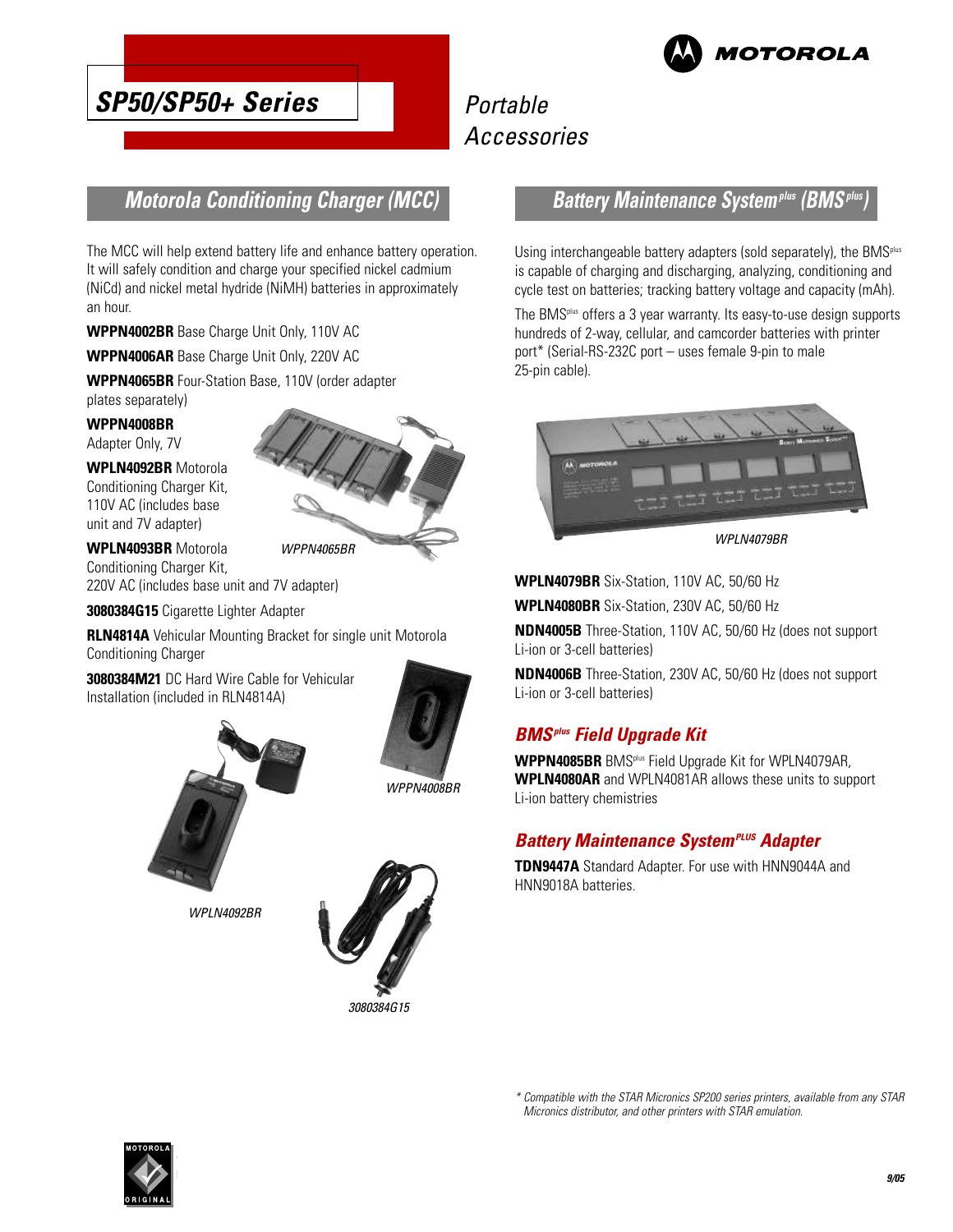

# **SP50/SP50+ Series**

# Portable Accessories

# **Motorola Conditioning Charger (MCC)**

The MCC will help extend battery life and enhance battery operation. It will safely condition and charge your specified nickel cadmium (NiCd) and nickel metal hydride (NiMH) batteries in approximately an hour.

**WPPN4002BR** Base Charge Unit Only, 110V AC

**WPPN4006AR** Base Charge Unit Only, 220V AC

**WPPN4065BR** Four-Station Base, 110V (order adapter plates separately)

**WPPN4008BR**

Adapter Only, 7V

**WPLN4092BR** Motorola Conditioning Charger Kit, 110V AC (includes base unit and 7V adapter)

**WPLN4093BR** Motorola Conditioning Charger Kit, 220V AC (includes base unit and 7V adapter)

**3080384G15** Cigarette Lighter Adapter

**RLN4814A** Vehicular Mounting Bracket for single unit Motorola Conditioning Charger

**3080384M21** DC Hard Wire Cable for Vehicular Installation (included in RLN4814A)



WPPN4065BR

WPPN4008BR



WPI N4092BR



### **Battery Maintenance Systemplus (BMSplus)**

Using interchangeable battery adapters (sold separately), the BMS<sup>plus</sup> is capable of charging and discharging, analyzing, conditioning and cycle test on batteries; tracking battery voltage and capacity (mAh).

The BMSplus offers a 3 year warranty. Its easy-to-use design supports hundreds of 2-way, cellular, and camcorder batteries with printer port\* (Serial-RS-232C port – uses female 9-pin to male 25-pin cable).



WPLN4079BR

**WPLN4079BR** Six-Station, 110V AC, 50/60 Hz

**WPLN4080BR** Six-Station, 230V AC, 50/60 Hz

**NDN4005B** Three-Station, 110V AC, 50/60 Hz (does not support Li-ion or 3-cell batteries)

**NDN4006B** Three-Station, 230V AC, 50/60 Hz (does not support Li-ion or 3-cell batteries)

### **BMSplus Field Upgrade Kit**

**WPPN4085BR** BMSplus Field Upgrade Kit for WPLN4079AR, **WPLN4080AR** and WPLN4081AR allows these units to support Li-ion battery chemistries

### **Battery Maintenance System<sup>PLUS</sup> Adapter**

**TDN9447A** Standard Adapter. For use with HNN9044A and HNN9018A batteries.



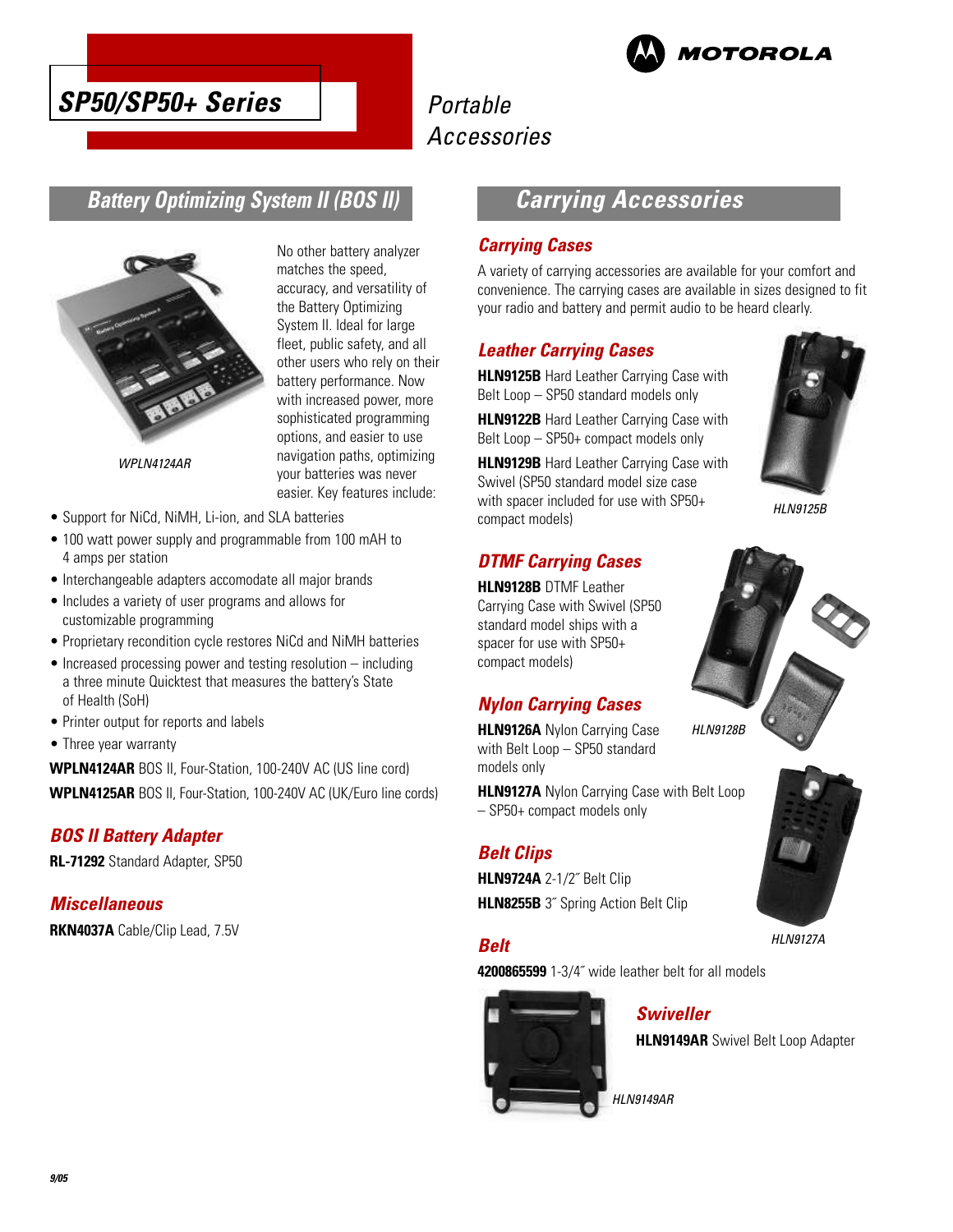



# **Battery Optimizing System II (BOS II)**



No other battery analyzer matches the speed, accuracy, and versatility of the Battery Optimizing System II. Ideal for large fleet, public safety, and all other users who rely on their battery performance. Now with increased power, more sophisticated programming options, and easier to use navigation paths, optimizing your batteries was never easier. Key features include:

WPLN4124AR

- Support for NiCd, NiMH, Li-ion, and SLA batteries
- 100 watt power supply and programmable from 100 mAH to 4 amps per station
- Interchangeable adapters accomodate all major brands
- Includes a variety of user programs and allows for customizable programming
- Proprietary recondition cycle restores NiCd and NiMH batteries
- Increased processing power and testing resolution including a three minute Quicktest that measures the battery's State of Health (SoH)
- Printer output for reports and labels
- Three year warranty

**WPLN4124AR** BOS II, Four-Station, 100-240V AC (US line cord) **WPLN4125AR** BOS II, Four-Station, 100-240V AC (UK/Euro line cords)

### **BOS II Battery Adapter**

**RL-71292** Standard Adapter, SP50

### **Miscellaneous**

**RKN4037A** Cable/Clip Lead, 7.5V

# **Carrying Accessories**

#### **Carrying Cases**

A variety of carrying accessories are available for your comfort and convenience. The carrying cases are available in sizes designed to fit your radio and battery and permit audio to be heard clearly.

### **Leather Carrying Cases**

**HLN9125B** Hard Leather Carrying Case with Belt Loop – SP50 standard models only

**HLN9122B** Hard Leather Carrying Case with Belt Loop – SP50+ compact models only

**HLN9129B** Hard Leather Carrying Case with Swivel (SP50 standard model size case with spacer included for use with SP50+ compact models)

### **DTMF Carrying Cases**

**HLN9128B** DTMF Leather Carrying Case with Swivel (SP50 standard model ships with a spacer for use with SP50+ compact models)

### **Nylon Carrying Cases**

**HLN9126A** Nylon Carrying Case with Belt Loop – SP50 standard models only

**HLN9127A** Nylon Carrying Case with Belt Loop – SP50+ compact models only

### **Belt Clips**

**HLN9724A** 2-1/2˝ Belt Clip **HLN8255B** 3<sup>"</sup> Spring Action Belt Clip

### **Belt**

**4200865599** 1-3/4˝ wide leather belt for all models



### **Swiveller**

**HLN9149AR** Swivel Belt Loop Adapter

HLN9149AR



HLN9125B



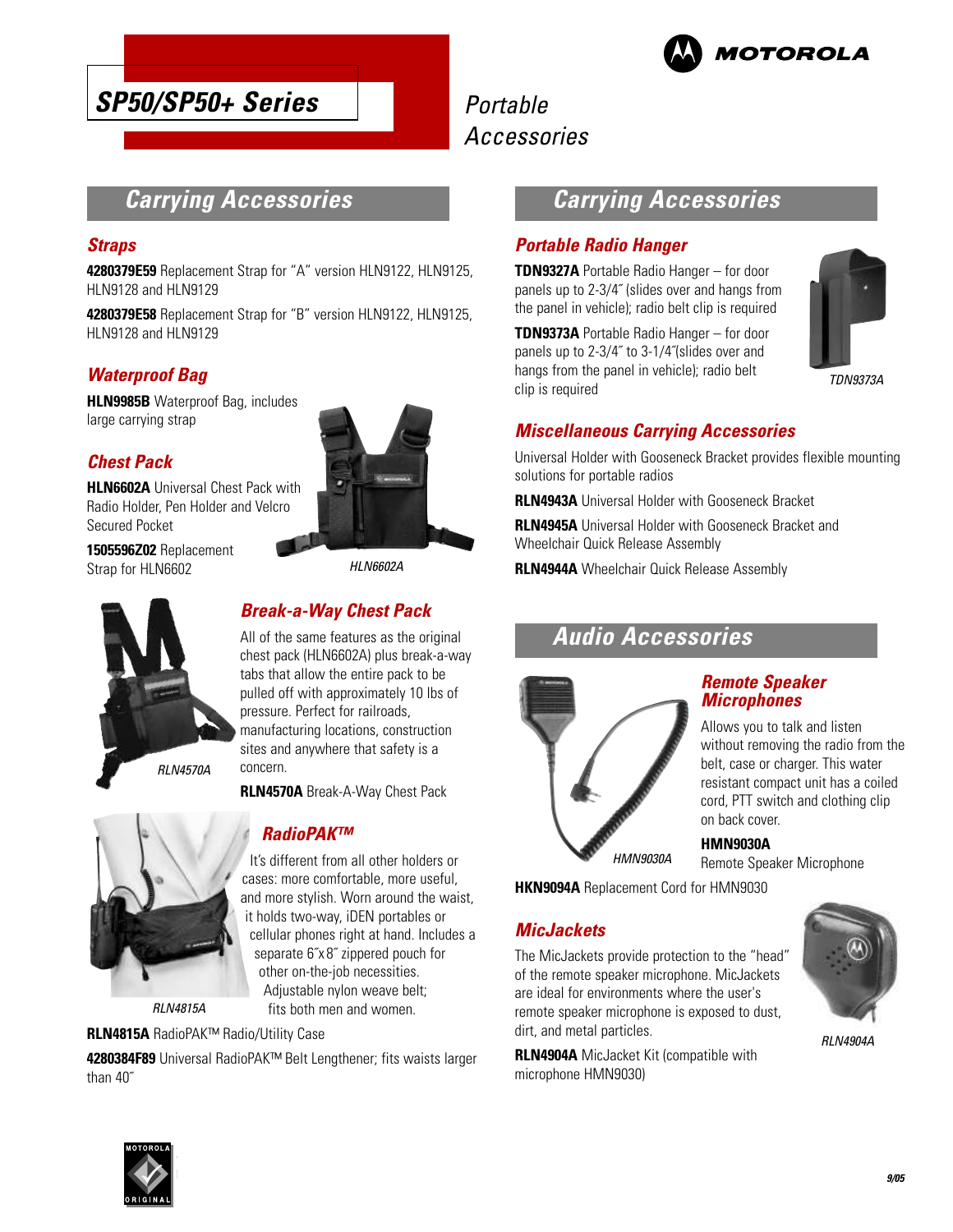



# **Carrying Accessories**

#### **Straps**

**4280379E59** Replacement Strap for "A" version HLN9122, HLN9125, HLN9128 and HLN9129

**4280379E58** Replacement Strap for "B" version HLN9122, HLN9125, HLN9128 and HLN9129

### **Waterproof Bag**

**HLN9985B** Waterproof Bag, includes large carrying strap

### **Chest Pack**

**HLN6602A** Universal Chest Pack with Radio Holder, Pen Holder and Velcro Secured Pocket

**1505596Z02** Replacement Strap for HLN6602





# **Break-a-Way Chest Pack**

All of the same features as the original chest pack (HLN6602A) plus break-a-way tabs that allow the entire pack to be pulled off with approximately 10 lbs of pressure. Perfect for railroads, manufacturing locations, construction sites and anywhere that safety is a concern.

**RLN4570A** Break-A-Way Chest Pack



RLN4815A

### **RadioPAK™**

It's different from all other holders or cases: more comfortable, more useful, and more stylish. Worn around the waist, it holds two-way, iDEN portables or cellular phones right at hand. Includes a separate 6˝x 8˝ zippered pouch for other on-the-job necessities. Adjustable nylon weave belt; fits both men and women.

**RLN4815A** RadioPAK™ Radio/Utility Case

**4280384F89** Universal RadioPAK™ Belt Lengthener; fits waists larger than 40˝

# **Carrying Accessories**

#### **Portable Radio Hanger**

**TDN9327A** Portable Radio Hanger – for door panels up to 2-3/4˝ (slides over and hangs from the panel in vehicle); radio belt clip is required

**TDN9373A** Portable Radio Hanger – for door panels up to 2-3/4˝ to 3-1/4˝(slides over and hangs from the panel in vehicle); radio belt clip is required



### **Miscellaneous Carrying Accessories**

Universal Holder with Gooseneck Bracket provides flexible mounting solutions for portable radios

**RLN4943A** Universal Holder with Gooseneck Bracket

**RLN4945A** Universal Holder with Gooseneck Bracket and Wheelchair Quick Release Assembly

**RLN4944A** Wheelchair Quick Release Assembly

# **Audio Accessories**



#### **Remote Speaker Microphones**

Allows you to talk and listen without removing the radio from the belt, case or charger. This water resistant compact unit has a coiled cord, PTT switch and clothing clip on back cover.

**HMN9030A** Remote Speaker Microphone

**HKN9094A** Replacement Cord for HMN9030 HMN9030A

### **MicJackets**

The MicJackets provide protection to the "head" of the remote speaker microphone. MicJackets are ideal for environments where the user's remote speaker microphone is exposed to dust, dirt, and metal particles.

**RLN4904A** MicJacket Kit (compatible with microphone HMN9030)



**RI N4904A** 

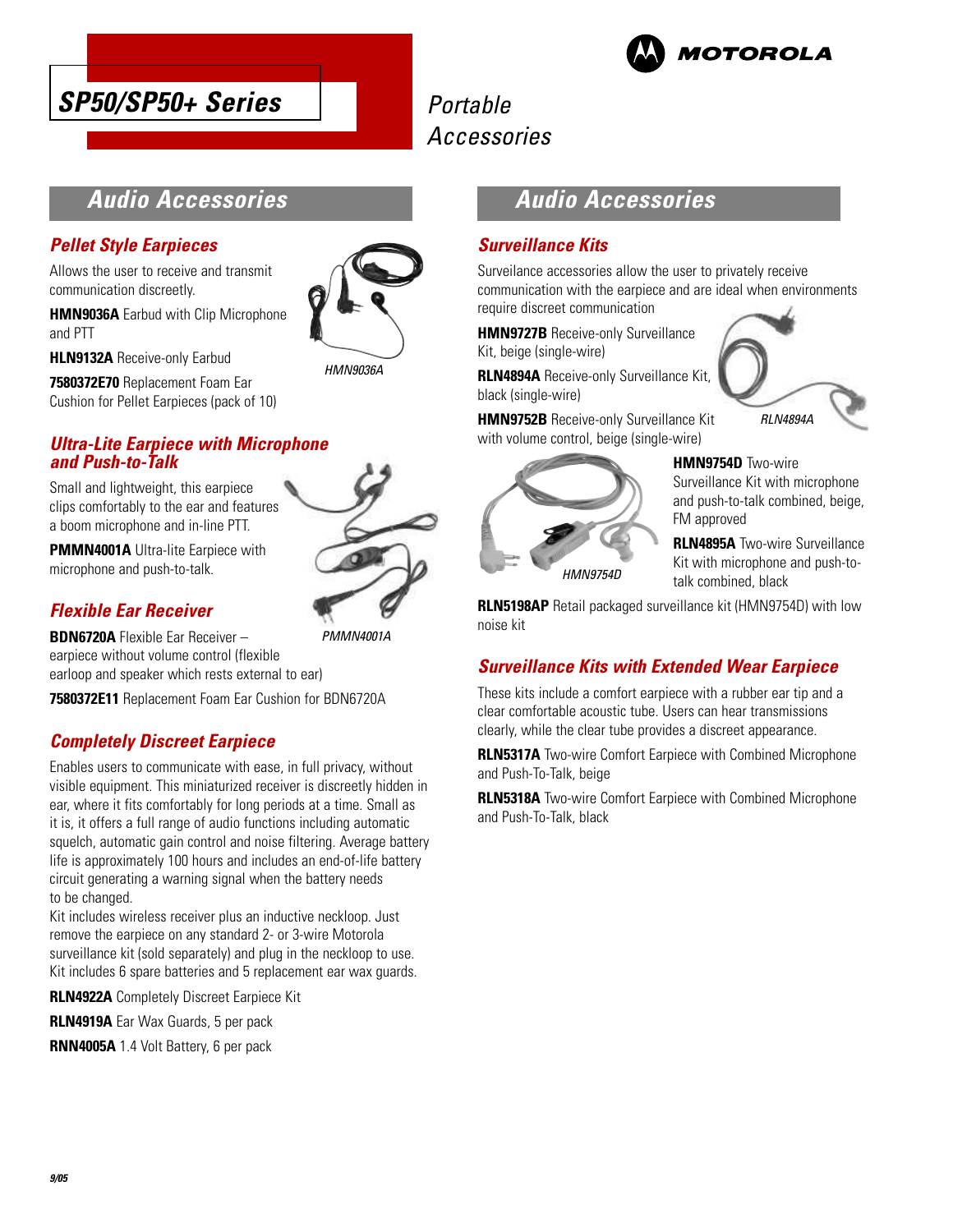



# **Audio Accessories**

### **Pellet Style Earpieces**

**HLN9132A** Receive-only Earbud

Allows the user to receive and transmit communication discreetly.

**HMN9036A** Earbud with Clip Microphone and PTT



HMN9036A

**7580372E70** Replacement Foam Ear Cushion for Pellet Earpieces (pack of 10)

### **Ultra-Lite Earpiece with Microphone and Push-to-Talk**

Small and lightweight, this earpiece clips comfortably to the ear and features a boom microphone and in-line PTT.



PMMN4001A

**PMMN4001A** Ultra-lite Earpiece with microphone and push-to-talk.

### **Flexible Ear Receiver**

**BDN6720A** Flexible Ear Receiver – earpiece without volume control (flexible earloop and speaker which rests external to ear)

**7580372E11** Replacement Foam Ear Cushion for BDN6720A

### **Completely Discreet Earpiece**

Enables users to communicate with ease, in full privacy, without visible equipment. This miniaturized receiver is discreetly hidden in ear, where it fits comfortably for long periods at a time. Small as it is, it offers a full range of audio functions including automatic squelch, automatic gain control and noise filtering. Average battery life is approximately 100 hours and includes an end-of-life battery circuit generating a warning signal when the battery needs to be changed.

Kit includes wireless receiver plus an inductive neckloop. Just remove the earpiece on any standard 2- or 3-wire Motorola surveillance kit (sold separately) and plug in the neckloop to use. Kit includes 6 spare batteries and 5 replacement ear wax guards.

**RLN4922A** Completely Discreet Earpiece Kit

**RLN4919A** Ear Wax Guards, 5 per pack

**RNN4005A** 1.4 Volt Battery, 6 per pack



### **Surveillance Kits**

Surveilance accessories allow the user to privately receive communication with the earpiece and are ideal when environments require discreet communication

**HMN9727B** Receive-only Surveillance Kit, beige (single-wire)

**RLN4894A** Receive-only Surveillance Kit, black (single-wire)

**HMN9752B** Receive-only Surveillance Kit with volume control, beige (single-wire)



**HMN9754D** Two-wire Surveillance Kit with microphone and push-to-talk combined, beige, FM approved

RLN4894A

**RLN4895A** Two-wire Surveillance Kit with microphone and push-totalk combined, black

**RLN5198AP** Retail packaged surveillance kit (HMN9754D) with low noise kit

# **Surveillance Kits with Extended Wear Earpiece**

These kits include a comfort earpiece with a rubber ear tip and a clear comfortable acoustic tube. Users can hear transmissions clearly, while the clear tube provides a discreet appearance.

**RLN5317A** Two-wire Comfort Earpiece with Combined Microphone and Push-To-Talk, beige

**RLN5318A** Two-wire Comfort Earpiece with Combined Microphone and Push-To-Talk, black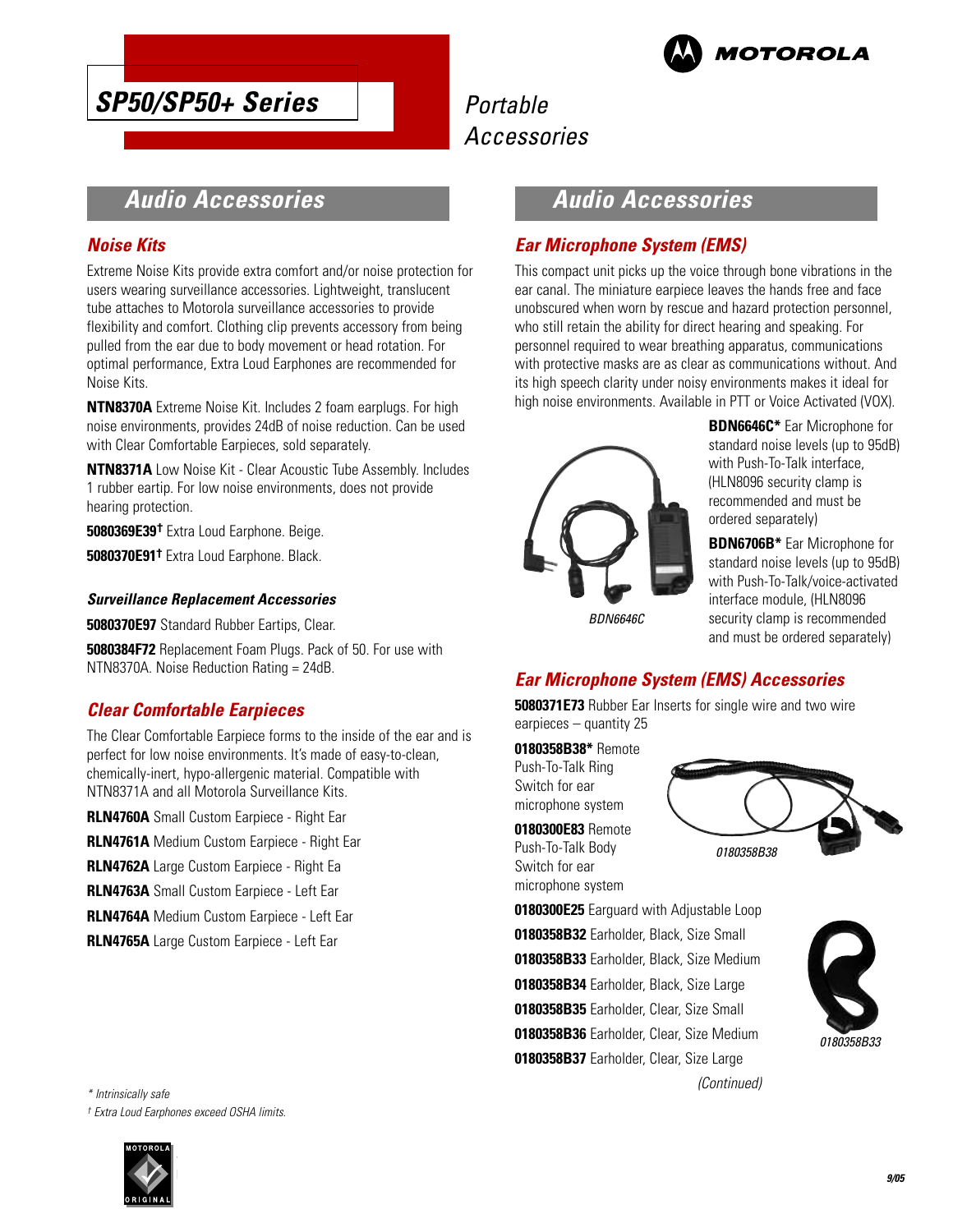

# **SP50/SP50+ Series**

# Portable Accessories

# **Audio Accessories**

### **Noise Kits**

Extreme Noise Kits provide extra comfort and/or noise protection for users wearing surveillance accessories. Lightweight, translucent tube attaches to Motorola surveillance accessories to provide flexibility and comfort. Clothing clip prevents accessory from being pulled from the ear due to body movement or head rotation. For optimal performance, Extra Loud Earphones are recommended for Noise Kits.

**NTN8370A** Extreme Noise Kit. Includes 2 foam earplugs. For high noise environments, provides 24dB of noise reduction. Can be used with Clear Comfortable Earpieces, sold separately.

**NTN8371A** Low Noise Kit - Clear Acoustic Tube Assembly. Includes 1 rubber eartip. For low noise environments, does not provide hearing protection.

**5080369E39†** Extra Loud Earphone. Beige.

**5080370E91†** Extra Loud Earphone. Black.

#### **Surveillance Replacement Accessories**

**5080370E97** Standard Rubber Eartips, Clear.

**5080384F72** Replacement Foam Plugs. Pack of 50. For use with NTN8370A. Noise Reduction Rating = 24dB.

### **Clear Comfortable Earpieces**

The Clear Comfortable Earpiece forms to the inside of the ear and is perfect for low noise environments. It's made of easy-to-clean, chemically-inert, hypo-allergenic material. Compatible with NTN8371A and all Motorola Surveillance Kits.

**RLN4760A** Small Custom Earpiece - Right Ear

**RLN4761A** Medium Custom Earpiece - Right Ear

**RLN4762A** Large Custom Earpiece - Right Ea

**RLN4763A** Small Custom Earpiece - Left Ear

**RLN4764A** Medium Custom Earpiece - Left Ear

**RLN4765A** Large Custom Earpiece - Left Ear

\* Intrinsically safe † Extra Loud Earphones exceed OSHA limits.



# **Audio Accessories**

### **Ear Microphone System (EMS)**

This compact unit picks up the voice through bone vibrations in the ear canal. The miniature earpiece leaves the hands free and face unobscured when worn by rescue and hazard protection personnel, who still retain the ability for direct hearing and speaking. For personnel required to wear breathing apparatus, communications with protective masks are as clear as communications without. And its high speech clarity under noisy environments makes it ideal for high noise environments. Available in PTT or Voice Activated (VOX).



**BDN6646C\*** Ear Microphone for standard noise levels (up to 95dB) with Push-To-Talk interface, (HLN8096 security clamp is recommended and must be ordered separately)

**BDN6706B\*** Ear Microphone for standard noise levels (up to 95dB) with Push-To-Talk/voice-activated interface module, (HLN8096 security clamp is recommended and must be ordered separately)

### **Ear Microphone System (EMS) Accessories**

**5080371E73** Rubber Ear Inserts for single wire and two wire earpieces – quantity 25

**0180358B38\*** Remote Push-To-Talk Ring Switch for ear microphone system

**0180300E83** Remote Push-To-Talk Body Switch for ear microphone system



**0180300E25** Earguard with Adjustable Loop **0180358B32** Earholder, Black, Size Small **0180358B33** Earholder, Black, Size Medium **0180358B34** Earholder, Black, Size Large **0180358B35** Earholder, Clear, Size Small **0180358B36** Earholder, Clear, Size Medium **0180358B37** Earholder, Clear, Size Large (Continued)

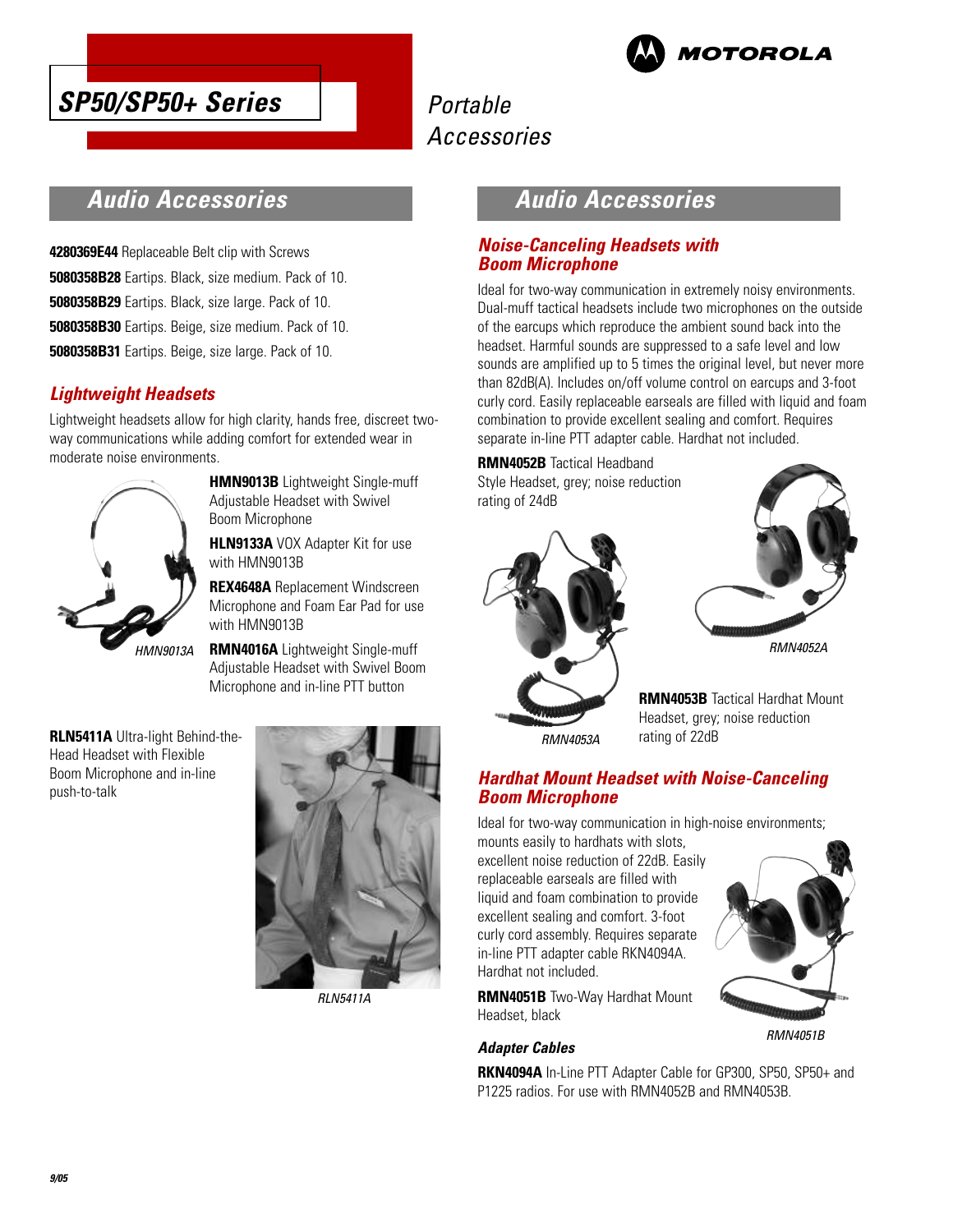



# **Audio Accessories**

**4280369E44** Replaceable Belt clip with Screws **5080358B28** Eartips. Black, size medium. Pack of 10. **5080358B29** Eartips. Black, size large. Pack of 10. **5080358B30** Eartips. Beige, size medium. Pack of 10. **5080358B31** Eartips. Beige, size large. Pack of 10.

### **Lightweight Headsets**

Lightweight headsets allow for high clarity, hands free, discreet twoway communications while adding comfort for extended wear in moderate noise environments.



**HMN9013B** Lightweight Single-muff Adjustable Headset with Swivel Boom Microphone

**HLN9133A** VOX Adapter Kit for use with HMN9013B

**REX4648A** Replacement Windscreen Microphone and Foam Ear Pad for use with HMN9013B

**RMN4016A** Lightweight Single-muff Adjustable Headset with Swivel Boom Microphone and in-line PTT button

**RLN5411A** Ultra-light Behind-the-Head Headset with Flexible Boom Microphone and in-line push-to-talk



RLN5411A

# **Audio Accessories**

### **Noise-Canceling Headsets with Boom Microphone**

Ideal for two-way communication in extremely noisy environments. Dual-muff tactical headsets include two microphones on the outside of the earcups which reproduce the ambient sound back into the headset. Harmful sounds are suppressed to a safe level and low sounds are amplified up to 5 times the original level, but never more than 82dB(A). Includes on/off volume control on earcups and 3-foot curly cord. Easily replaceable earseals are filled with liquid and foam combination to provide excellent sealing and comfort. Requires separate in-line PTT adapter cable. Hardhat not included.

### **RMN4052B** Tactical Headband

Style Headset, grey; noise reduction rating of 24dB





**RMN4053B** Tactical Hardhat Mount Headset, grey; noise reduction rating of 22dB

RMN4053A

### **Hardhat Mount Headset with Noise-Canceling Boom Microphone**

Ideal for two-way communication in high-noise environments;

mounts easily to hardhats with slots, excellent noise reduction of 22dB. Easily replaceable earseals are filled with liquid and foam combination to provide excellent sealing and comfort. 3-foot curly cord assembly. Requires separate in-line PTT adapter cable RKN4094A. Hardhat not included.

**RMN4051B** Two-Way Hardhat Mount Headset, black

### **Adapter Cables**

RMN4051B

**RKN4094A** In-Line PTT Adapter Cable for GP300, SP50, SP50+ and P1225 radios. For use with RMN4052B and RMN4053B.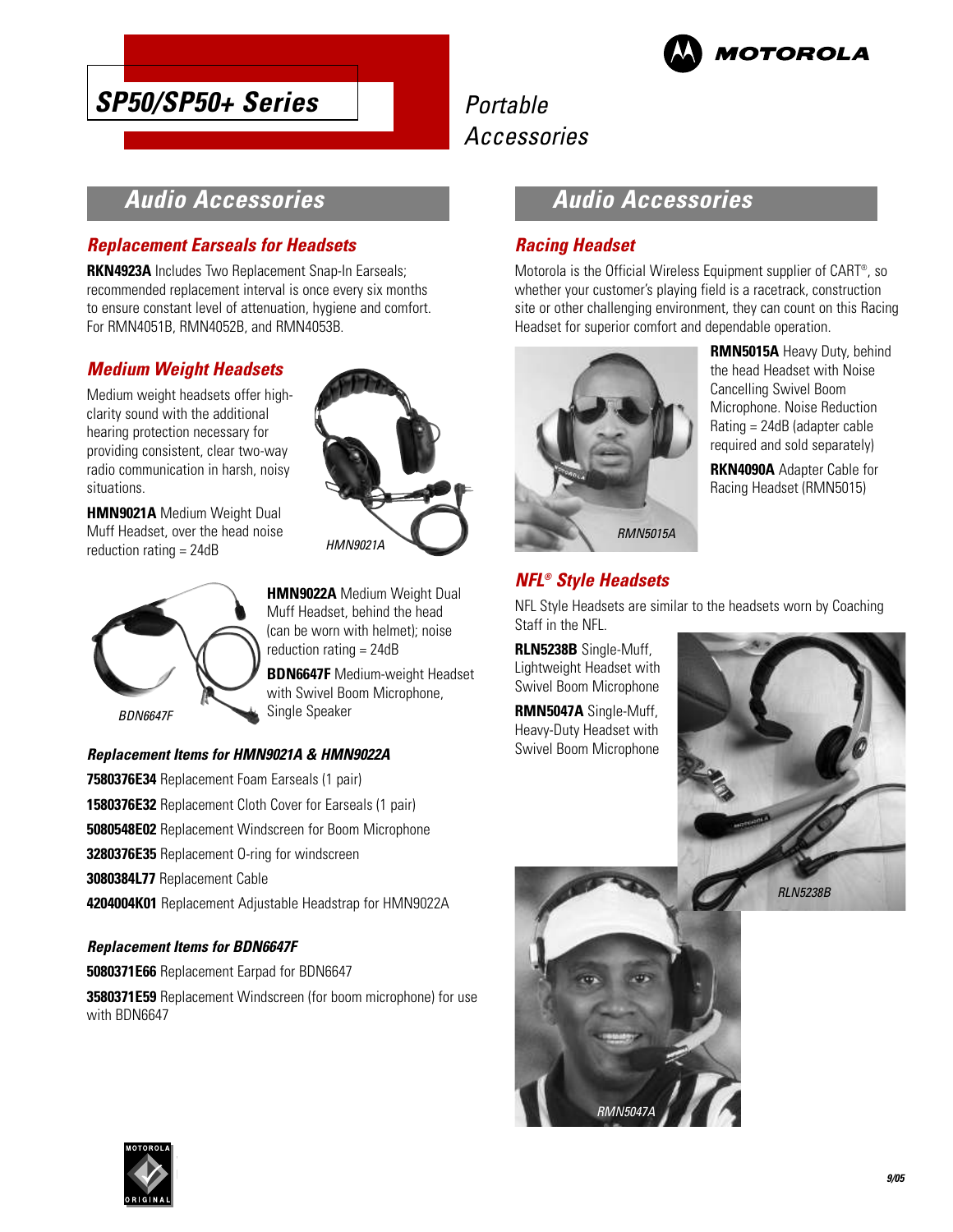

# **SP50/SP50+ Series**

# Portable Accessories

# **Audio Accessories**

### **Replacement Earseals for Headsets**

**RKN4923A** Includes Two Replacement Snap-In Earseals; recommended replacement interval is once every six months to ensure constant level of attenuation, hygiene and comfort. For RMN4051B, RMN4052B, and RMN4053B.

### **Medium Weight Headsets**

Medium weight headsets offer highclarity sound with the additional hearing protection necessary for providing consistent, clear two-way radio communication in harsh, noisy situations.

**HMN9021A** Medium Weight Dual Muff Headset, over the head noise reduction rating = 24dB



**HMN9022A** Medium Weight Dual Muff Headset, behind the head (can be worn with helmet); noise reduction rating = 24dB

HMN9021A

**BDN6647F** Medium-weight Headset with Swivel Boom Microphone, Single Speaker

### **Replacement Items for HMN9021A & HMN9022A**

**7580376E34** Replacement Foam Earseals (1 pair) **1580376E32** Replacement Cloth Cover for Earseals (1 pair) **5080548E02** Replacement Windscreen for Boom Microphone **3280376E35** Replacement O-ring for windscreen **3080384L77** Replacement Cable **4204004K01** Replacement Adjustable Headstrap for HMN9022A

#### **Replacement Items for BDN6647F**

**5080371E66** Replacement Earpad for BDN6647 **3580371E59** Replacement Windscreen (for boom microphone) for use with BDN6647

### **Audio Accessories**

### **Racing Headset**

Motorola is the Official Wireless Equipment supplier of CART® , so whether your customer's playing field is a racetrack, construction site or other challenging environment, they can count on this Racing Headset for superior comfort and dependable operation.



**RMN5015A** Heavy Duty, behind the head Headset with Noise Cancelling Swivel Boom Microphone. Noise Reduction Rating = 24dB (adapter cable required and sold separately)

**RKN4090A** Adapter Cable for Racing Headset (RMN5015)

### **NFL® Style Headsets**

NFL Style Headsets are similar to the headsets worn by Coaching Staff in the NFL.

**RLN5238B** Single-Muff, Lightweight Headset with Swivel Boom Microphone

**RMN5047A** Single-Muff, Heavy-Duty Headset with Swivel Boom Microphone





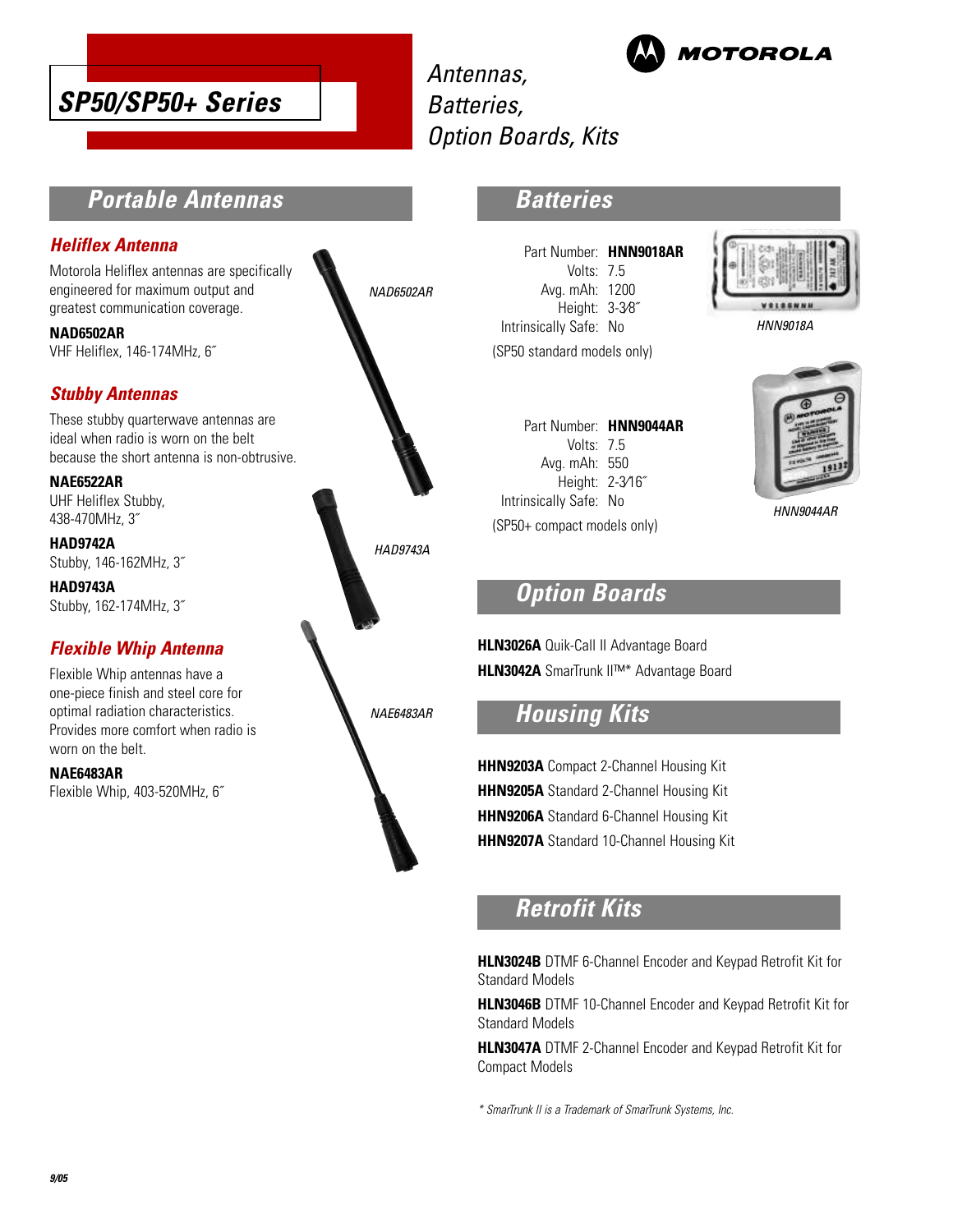

Antennas, Batteries, Option Boards, Kits



**Portable Antennas**

### **Heliflex Antenna**

Motorola Heliflex antennas are specifically engineered for maximum output and greatest communication coverage.

**NAD6502AR** VHF Heliflex, 146-174MHz, 6˝

### **Stubby Antennas**

These stubby quarterwave antennas are ideal when radio is worn on the belt because the short antenna is non-obtrusive.

**NAE6522AR**

UHF Heliflex Stubby, 438-470MHz, 3˝

**HAD9742A** Stubby, 146-162MHz, 3˝

**HAD9743A** Stubby, 162-174MHz, 3˝

### **Flexible Whip Antenna**

Flexible Whip antennas have a one-piece finish and steel core for optimal radiation characteristics. Provides more comfort when radio is worn on the belt.

**NAE6483AR**

Flexible Whip, 403-520MHz, 6˝

NAD6502AR



### **Batteries**

Part Number: **HNN9018AR** Volts: 7.5 Avg. mAh: 1200 Height: 3-3⁄8˝ Intrinsically Safe: No (SP50 standard models only)



HNN9018A

Part Number: **HNN9044AR** Volts: 7.5 Avg. mAh: 550 Height: 2-3⁄16˝ Intrinsically Safe: No (SP50+ compact models only)

HNN9044AR

# **Option Boards**

**HLN3026A** Quik-Call II Advantage Board **HLN3042A** SmarTrunk II™\* Advantage Board

# **Housing Kits**

**HHN9203A** Compact 2-Channel Housing Kit **HHN9205A** Standard 2-Channel Housing Kit **HHN9206A** Standard 6-Channel Housing Kit **HHN9207A** Standard 10-Channel Housing Kit

# **Retrofit Kits**

**HLN3024B** DTMF 6-Channel Encoder and Keypad Retrofit Kit for Standard Models

**HLN3046B** DTMF 10-Channel Encoder and Keypad Retrofit Kit for Standard Models

**HLN3047A** DTMF 2-Channel Encoder and Keypad Retrofit Kit for Compact Models

\* SmarTrunk II is a Trademark of SmarTrunk Systems, Inc.